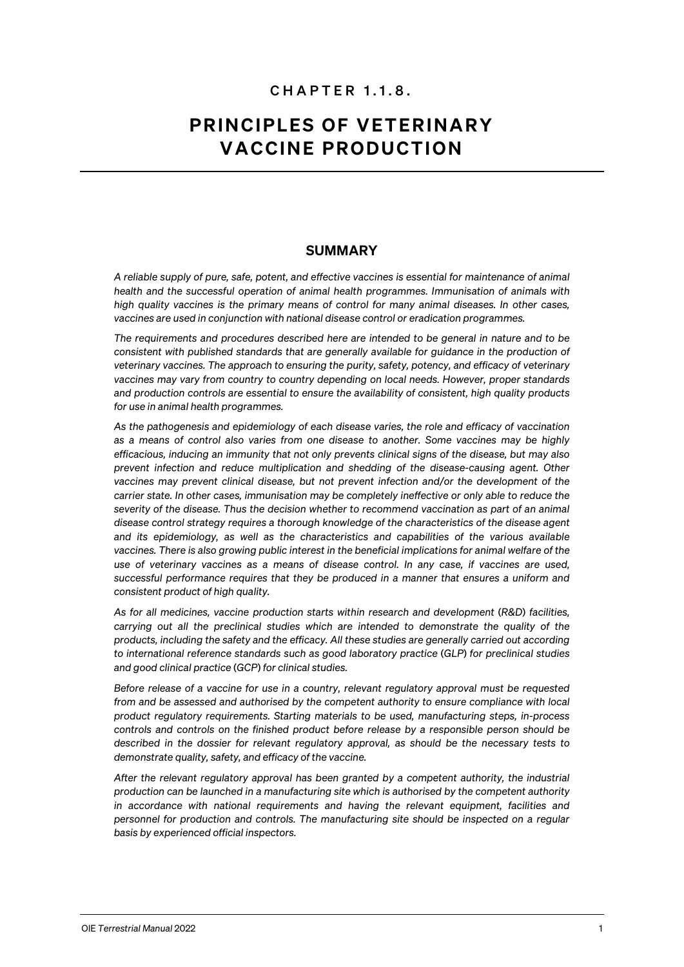# CHAPTER 1.1. 8 .

# PRINCIPLES OF VETERINARY VACCINE PRODUCTION

## SUMMARY

*A reliable supply of pure, safe, potent, and effective vaccines is essential for maintenance of animal health and the successful operation of animal health programmes. Immunisation of animals with high quality vaccines is the primary means of control for many animal diseases. In other cases, vaccines are used in conjunction with national disease control or eradication programmes.*

*The requirements and procedures described here are intended to be general in nature and to be consistent with published standards that are generally available for guidance in the production of veterinary vaccines. The approach to ensuring the purity, safety, potency, and efficacy of veterinary vaccines may vary from country to country depending on local needs. However, proper standards and production controls are essential to ensure the availability of consistent, high quality products for use in animal health programmes.*

*As the pathogenesis and epidemiology of each disease varies, the role and efficacy of vaccination as a means of control also varies from one disease to another. Some vaccines may be highly efficacious, inducing an immunity that not only prevents clinical signs of the disease, but may also prevent infection and reduce multiplication and shedding of the disease-causing agent. Other vaccines may prevent clinical disease, but not prevent infection and/or the development of the carrier state. In other cases, immunisation may be completely ineffective or only able to reduce the severity of the disease. Thus the decision whether to recommend vaccination as part of an animal disease control strategy requires a thorough knowledge of the characteristics of the disease agent and its epidemiology, as well as the characteristics and capabilities of the various available vaccines. There is also growing public interest in the beneficial implications for animal welfare of the use of veterinary vaccines as a means of disease control. In any case, if vaccines are used, successful performance requires that they be produced in a manner that ensures a uniform and consistent product of high quality.*

*As for all medicines, vaccine production starts within research and development* (*R&D*) *facilities, carrying out all the preclinical studies which are intended to demonstrate the quality of the products, including the safety and the efficacy. All these studies are generally carried out according to international reference standards such as good laboratory practice* (*GLP*) *for preclinical studies and good clinical practice* (*GCP*) *for clinical studies.*

*Before release of a vaccine for use in a country, relevant regulatory approval must be requested from and be assessed and authorised by the competent authority to ensure compliance with local product regulatory requirements. Starting materials to be used, manufacturing steps, in-process controls and controls on the finished product before release by a responsible person should be described in the dossier for relevant regulatory approval, as should be the necessary tests to demonstrate quality, safety, and efficacy of the vaccine.*

*After the relevant regulatory approval has been granted by a competent authority, the industrial production can be launched in a manufacturing site which is authorised by the competent authority*  in accordance with national requirements and having the relevant equipment, facilities and *personnel for production and controls. The manufacturing site should be inspected on a regular basis by experienced official inspectors.*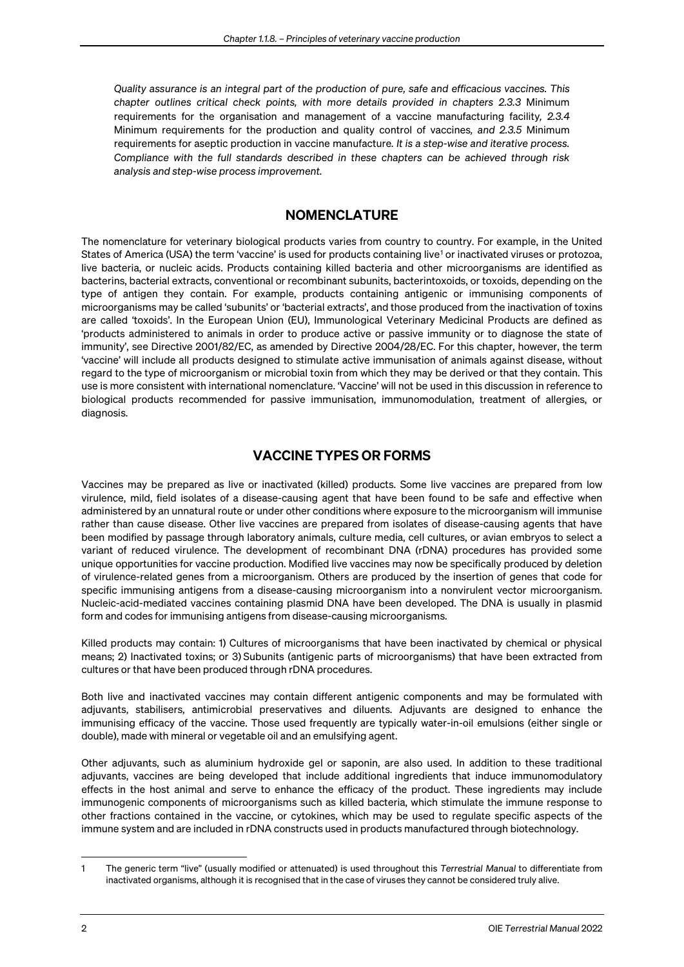*Quality assurance is an integral part of the production of pure, safe and efficacious vaccines. This chapter outlines critical check points, with more details provided in chapters 2.3.3* Minimum requirements for the organisation and management of a vaccine manufacturing facility*, 2.3.4* Minimum requirements for the production and quality control of vaccines*, and 2.3.5* Minimum requirements for aseptic production in vaccine manufacture*. It is a step-wise and iterative process. Compliance with the full standards described in these chapters can be achieved through risk analysis and step-wise process improvement.* 

## **NOMENCLATURE**

The nomenclature for veterinary biological products varies from country to country. For example, in the United States of America (USA) the term 'vaccine' is used for products containing live<sup>[1](#page-1-0)</sup> or inactivated viruses or protozoa, live bacteria, or nucleic acids. Products containing killed bacteria and other microorganisms are identified as bacterins, bacterial extracts, conventional or recombinant subunits, bacterintoxoids, or toxoids, depending on the type of antigen they contain. For example, products containing antigenic or immunising components of microorganisms may be called 'subunits' or 'bacterial extracts', and those produced from the inactivation of toxins are called 'toxoids'. In the European Union (EU), Immunological Veterinary Medicinal Products are defined as 'products administered to animals in order to produce active or passive immunity or to diagnose the state of immunity', see Directive 2001/82/EC, as amended by Directive 2004/28/EC. For this chapter, however, the term 'vaccine' will include all products designed to stimulate active immunisation of animals against disease, without regard to the type of microorganism or microbial toxin from which they may be derived or that they contain. This use is more consistent with international nomenclature. 'Vaccine' will not be used in this discussion in reference to biological products recommended for passive immunisation, immunomodulation, treatment of allergies, or diagnosis.

# VACCINE TYPES OR FORMS

Vaccines may be prepared as live or inactivated (killed) products. Some live vaccines are prepared from low virulence, mild, field isolates of a disease-causing agent that have been found to be safe and effective when administered by an unnatural route or under other conditions where exposure to the microorganism will immunise rather than cause disease. Other live vaccines are prepared from isolates of disease-causing agents that have been modified by passage through laboratory animals, culture media, cell cultures, or avian embryos to select a variant of reduced virulence. The development of recombinant DNA (rDNA) procedures has provided some unique opportunities for vaccine production. Modified live vaccines may now be specifically produced by deletion of virulence-related genes from a microorganism. Others are produced by the insertion of genes that code for specific immunising antigens from a disease-causing microorganism into a nonvirulent vector microorganism. Nucleic-acid-mediated vaccines containing plasmid DNA have been developed. The DNA is usually in plasmid form and codes for immunising antigens from disease-causing microorganisms.

Killed products may contain: 1) Cultures of microorganisms that have been inactivated by chemical or physical means; 2) Inactivated toxins; or 3) Subunits (antigenic parts of microorganisms) that have been extracted from cultures or that have been produced through rDNA procedures.

Both live and inactivated vaccines may contain different antigenic components and may be formulated with adjuvants, stabilisers, antimicrobial preservatives and diluents. Adjuvants are designed to enhance the immunising efficacy of the vaccine. Those used frequently are typically water-in-oil emulsions (either single or double), made with mineral or vegetable oil and an emulsifying agent.

Other adjuvants, such as aluminium hydroxide gel or saponin, are also used. In addition to these traditional adjuvants, vaccines are being developed that include additional ingredients that induce immunomodulatory effects in the host animal and serve to enhance the efficacy of the product. These ingredients may include immunogenic components of microorganisms such as killed bacteria, which stimulate the immune response to other fractions contained in the vaccine, or cytokines, which may be used to regulate specific aspects of the immune system and are included in rDNA constructs used in products manufactured through biotechnology.

<span id="page-1-0"></span><sup>1</sup> The generic term "live" (usually modified or attenuated) is used throughout this *Terrestrial Manual* to differentiate from inactivated organisms, although it is recognised that in the case of viruses they cannot be considered truly alive.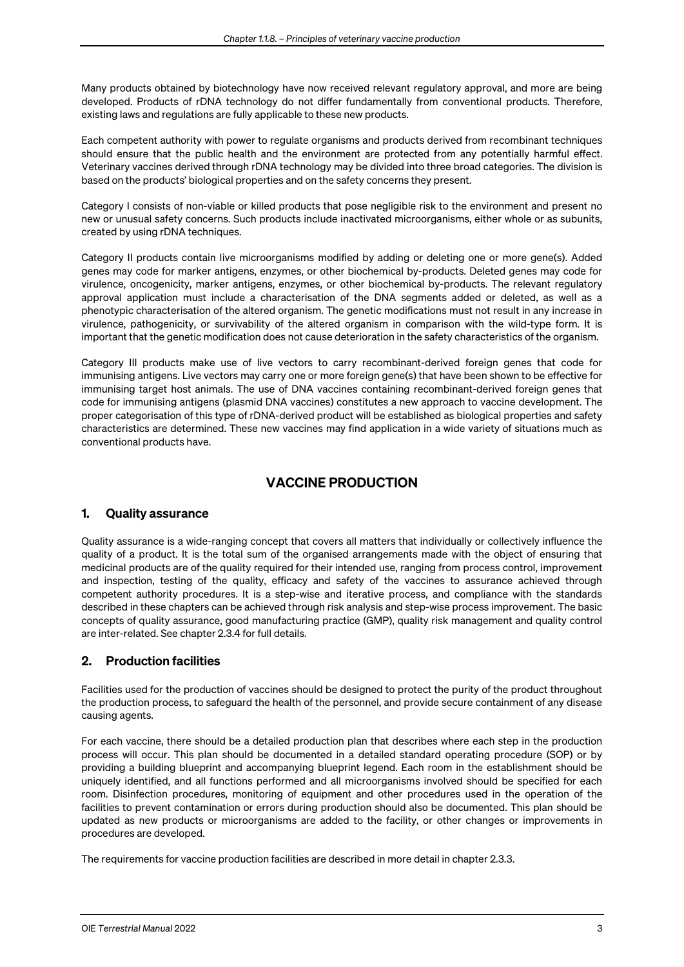Many products obtained by biotechnology have now received relevant regulatory approval, and more are being developed. Products of rDNA technology do not differ fundamentally from conventional products. Therefore, existing laws and regulations are fully applicable to these new products.

Each competent authority with power to regulate organisms and products derived from recombinant techniques should ensure that the public health and the environment are protected from any potentially harmful effect. Veterinary vaccines derived through rDNA technology may be divided into three broad categories. The division is based on the products' biological properties and on the safety concerns they present.

Category I consists of non-viable or killed products that pose negligible risk to the environment and present no new or unusual safety concerns. Such products include inactivated microorganisms, either whole or as subunits, created by using rDNA techniques.

Category II products contain live microorganisms modified by adding or deleting one or more gene(s). Added genes may code for marker antigens, enzymes, or other biochemical by-products. Deleted genes may code for virulence, oncogenicity, marker antigens, enzymes, or other biochemical by-products. The relevant regulatory approval application must include a characterisation of the DNA segments added or deleted, as well as a phenotypic characterisation of the altered organism. The genetic modifications must not result in any increase in virulence, pathogenicity, or survivability of the altered organism in comparison with the wild-type form. It is important that the genetic modification does not cause deterioration in the safety characteristics of the organism.

Category III products make use of live vectors to carry recombinant-derived foreign genes that code for immunising antigens. Live vectors may carry one or more foreign gene(s) that have been shown to be effective for immunising target host animals. The use of DNA vaccines containing recombinant-derived foreign genes that code for immunising antigens (plasmid DNA vaccines) constitutes a new approach to vaccine development. The proper categorisation of this type of rDNA-derived product will be established as biological properties and safety characteristics are determined. These new vaccines may find application in a wide variety of situations much as conventional products have.

# VACCINE PRODUCTION

## 1. Quality assurance

Quality assurance is a wide-ranging concept that covers all matters that individually or collectively influence the quality of a product. It is the total sum of the organised arrangements made with the object of ensuring that medicinal products are of the quality required for their intended use, ranging from process control, improvement and inspection, testing of the quality, efficacy and safety of the vaccines to assurance achieved through competent authority procedures. It is a step-wise and iterative process, and compliance with the standards described in these chapters can be achieved through risk analysis and step-wise process improvement. The basic concepts of quality assurance, good manufacturing practice (GMP), quality risk management and quality control are inter-related. See chapter 2.3.4 for full details.

## 2. Production facilities

Facilities used for the production of vaccines should be designed to protect the purity of the product throughout the production process, to safeguard the health of the personnel, and provide secure containment of any disease causing agents.

For each vaccine, there should be a detailed production plan that describes where each step in the production process will occur. This plan should be documented in a detailed standard operating procedure (SOP) or by providing a building blueprint and accompanying blueprint legend. Each room in the establishment should be uniquely identified, and all functions performed and all microorganisms involved should be specified for each room. Disinfection procedures, monitoring of equipment and other procedures used in the operation of the facilities to prevent contamination or errors during production should also be documented. This plan should be updated as new products or microorganisms are added to the facility, or other changes or improvements in procedures are developed.

The requirements for vaccine production facilities are described in more detail in chapter 2.3.3.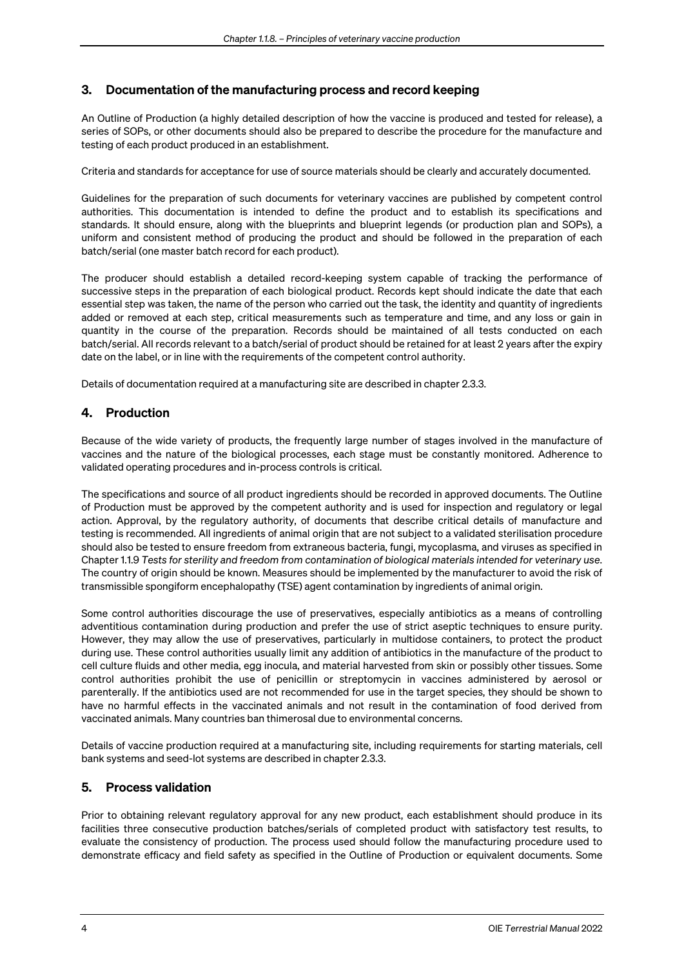## 3. Documentation of the manufacturing process and record keeping

An Outline of Production (a highly detailed description of how the vaccine is produced and tested for release), a series of SOPs, or other documents should also be prepared to describe the procedure for the manufacture and testing of each product produced in an establishment.

Criteria and standards for acceptance for use of source materials should be clearly and accurately documented.

Guidelines for the preparation of such documents for veterinary vaccines are published by competent control authorities. This documentation is intended to define the product and to establish its specifications and standards. It should ensure, along with the blueprints and blueprint legends (or production plan and SOPs), a uniform and consistent method of producing the product and should be followed in the preparation of each batch/serial (one master batch record for each product).

The producer should establish a detailed record-keeping system capable of tracking the performance of successive steps in the preparation of each biological product. Records kept should indicate the date that each essential step was taken, the name of the person who carried out the task, the identity and quantity of ingredients added or removed at each step, critical measurements such as temperature and time, and any loss or gain in quantity in the course of the preparation. Records should be maintained of all tests conducted on each batch/serial. All records relevant to a batch/serial of product should be retained for at least 2 years after the expiry date on the label, or in line with the requirements of the competent control authority.

Details of documentation required at a manufacturing site are described in chapter 2.3.3.

## 4. Production

Because of the wide variety of products, the frequently large number of stages involved in the manufacture of vaccines and the nature of the biological processes, each stage must be constantly monitored. Adherence to validated operating procedures and in-process controls is critical.

The specifications and source of all product ingredients should be recorded in approved documents. The Outline of Production must be approved by the competent authority and is used for inspection and regulatory or legal action. Approval, by the regulatory authority, of documents that describe critical details of manufacture and testing is recommended. All ingredients of animal origin that are not subject to a validated sterilisation procedure should also be tested to ensure freedom from extraneous bacteria, fungi, mycoplasma, and viruses as specified in Chapter 1.1.9 *Tests for sterility and freedom from contamination of biological materials intended for veterinary use*. The country of origin should be known. Measures should be implemented by the manufacturer to avoid the risk of transmissible spongiform encephalopathy (TSE) agent contamination by ingredients of animal origin.

Some control authorities discourage the use of preservatives, especially antibiotics as a means of controlling adventitious contamination during production and prefer the use of strict aseptic techniques to ensure purity. However, they may allow the use of preservatives, particularly in multidose containers, to protect the product during use. These control authorities usually limit any addition of antibiotics in the manufacture of the product to cell culture fluids and other media, egg inocula, and material harvested from skin or possibly other tissues. Some control authorities prohibit the use of penicillin or streptomycin in vaccines administered by aerosol or parenterally. If the antibiotics used are not recommended for use in the target species, they should be shown to have no harmful effects in the vaccinated animals and not result in the contamination of food derived from vaccinated animals. Many countries ban thimerosal due to environmental concerns.

Details of vaccine production required at a manufacturing site, including requirements for starting materials, cell bank systems and seed-lot systems are described in chapter 2.3.3.

### 5. Process validation

Prior to obtaining relevant regulatory approval for any new product, each establishment should produce in its facilities three consecutive production batches/serials of completed product with satisfactory test results, to evaluate the consistency of production. The process used should follow the manufacturing procedure used to demonstrate efficacy and field safety as specified in the Outline of Production or equivalent documents. Some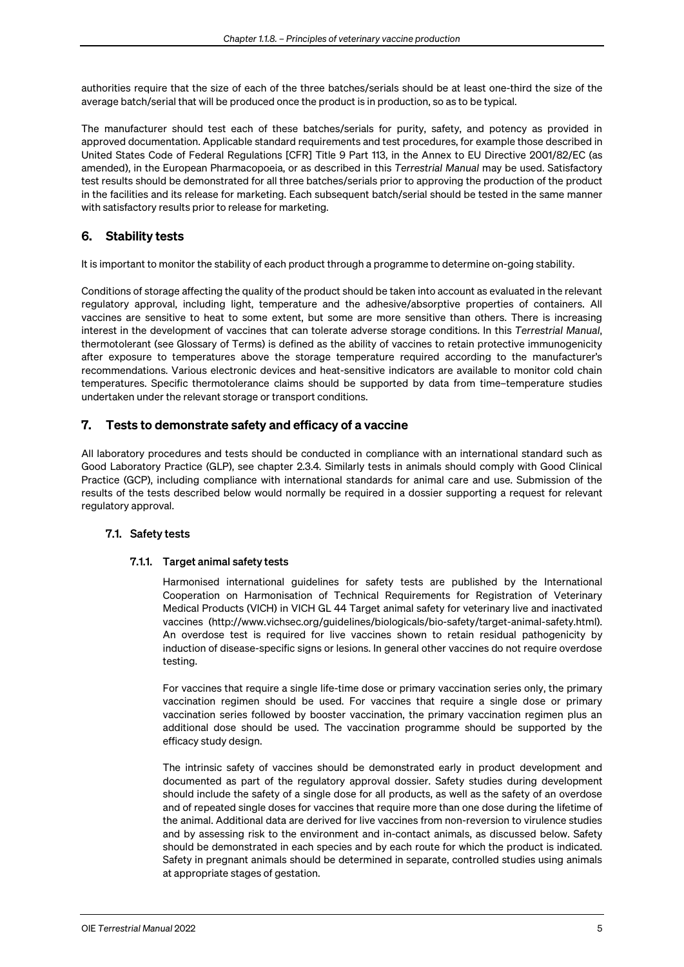authorities require that the size of each of the three batches/serials should be at least one-third the size of the average batch/serial that will be produced once the product is in production, so as to be typical.

The manufacturer should test each of these batches/serials for purity, safety, and potency as provided in approved documentation. Applicable standard requirements and test procedures, for example those described in United States Code of Federal Regulations [CFR] Title 9 Part 113, in the Annex to EU Directive 2001/82/EC (as amended), in the European Pharmacopoeia, or as described in this *Terrestrial Manual* may be used. Satisfactory test results should be demonstrated for all three batches/serials prior to approving the production of the product in the facilities and its release for marketing. Each subsequent batch/serial should be tested in the same manner with satisfactory results prior to release for marketing.

## 6. Stability tests

It is important to monitor the stability of each product through a programme to determine on-going stability.

Conditions of storage affecting the quality of the product should be taken into account as evaluated in the relevant regulatory approval, including light, temperature and the adhesive/absorptive properties of containers. All vaccines are sensitive to heat to some extent, but some are more sensitive than others. There is increasing interest in the development of vaccines that can tolerate adverse storage conditions. In this *Terrestrial Manual*, thermotolerant (see Glossary of Terms) is defined as the ability of vaccines to retain protective immunogenicity after exposure to temperatures above the storage temperature required according to the manufacturer's recommendations. Various electronic devices and heat-sensitive indicators are available to monitor cold chain temperatures. Specific thermotolerance claims should be supported by data from time–temperature studies undertaken under the relevant storage or transport conditions.

### 7. Tests to demonstrate safety and efficacy of a vaccine

All laboratory procedures and tests should be conducted in compliance with an international standard such as Good Laboratory Practice (GLP), see chapter 2.3.4*.* Similarly tests in animals should comply with Good Clinical Practice (GCP), including compliance with international standards for animal care and use. Submission of the results of the tests described below would normally be required in a dossier supporting a request for relevant regulatory approval.

### 7.1. Safety tests

#### 7.1.1. Target animal safety tests

Harmonised international guidelines for safety tests are published by the International Cooperation on Harmonisation of Technical Requirements for Registration of Veterinary Medical Products (VICH) in VICH GL 44 Target animal safety for veterinary live and inactivated vaccines (http://www.vichsec.org/guidelines/biologicals/bio-safety/target-animal-safety.html). An overdose test is required for live vaccines shown to retain residual pathogenicity by induction of disease-specific signs or lesions. In general other vaccines do not require overdose testing.

For vaccines that require a single life-time dose or primary vaccination series only, the primary vaccination regimen should be used. For vaccines that require a single dose or primary vaccination series followed by booster vaccination, the primary vaccination regimen plus an additional dose should be used. The vaccination programme should be supported by the efficacy study design.

The intrinsic safety of vaccines should be demonstrated early in product development and documented as part of the regulatory approval dossier. Safety studies during development should include the safety of a single dose for all products, as well as the safety of an overdose and of repeated single doses for vaccines that require more than one dose during the lifetime of the animal. Additional data are derived for live vaccines from non-reversion to virulence studies and by assessing risk to the environment and in-contact animals, as discussed below. Safety should be demonstrated in each species and by each route for which the product is indicated. Safety in pregnant animals should be determined in separate, controlled studies using animals at appropriate stages of gestation.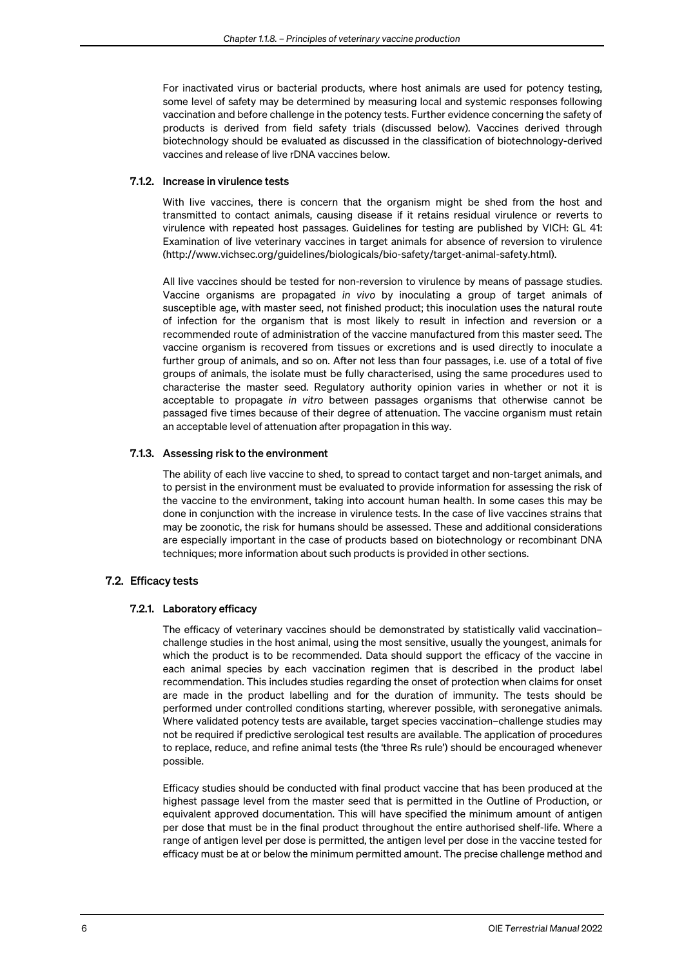For inactivated virus or bacterial products, where host animals are used for potency testing, some level of safety may be determined by measuring local and systemic responses following vaccination and before challenge in the potency tests. Further evidence concerning the safety of products is derived from field safety trials (discussed below). Vaccines derived through biotechnology should be evaluated as discussed in the classification of biotechnology-derived vaccines and release of live rDNA vaccines below.

#### 7.1.2. Increase in virulence tests

With live vaccines, there is concern that the organism might be shed from the host and transmitted to contact animals, causing disease if it retains residual virulence or reverts to virulence with repeated host passages. Guidelines for testing are published by VICH: GL 41: Examination of live veterinary vaccines in target animals for absence of reversion to virulence (http://www.vichsec.org/guidelines/biologicals/bio-safety/target-animal-safety.html).

All live vaccines should be tested for non-reversion to virulence by means of passage studies. Vaccine organisms are propagated *in vivo* by inoculating a group of target animals of susceptible age, with master seed, not finished product; this inoculation uses the natural route of infection for the organism that is most likely to result in infection and reversion or a recommended route of administration of the vaccine manufactured from this master seed. The vaccine organism is recovered from tissues or excretions and is used directly to inoculate a further group of animals, and so on. After not less than four passages, i.e. use of a total of five groups of animals, the isolate must be fully characterised, using the same procedures used to characterise the master seed. Regulatory authority opinion varies in whether or not it is acceptable to propagate *in vitro* between passages organisms that otherwise cannot be passaged five times because of their degree of attenuation. The vaccine organism must retain an acceptable level of attenuation after propagation in this way.

#### 7.1.3. Assessing risk to the environment

The ability of each live vaccine to shed, to spread to contact target and non-target animals, and to persist in the environment must be evaluated to provide information for assessing the risk of the vaccine to the environment, taking into account human health. In some cases this may be done in conjunction with the increase in virulence tests. In the case of live vaccines strains that may be zoonotic, the risk for humans should be assessed. These and additional considerations are especially important in the case of products based on biotechnology or recombinant DNA techniques; more information about such products is provided in other sections.

#### 7.2. Efficacy tests

#### 7.2.1. Laboratory efficacy

The efficacy of veterinary vaccines should be demonstrated by statistically valid vaccination– challenge studies in the host animal, using the most sensitive, usually the youngest, animals for which the product is to be recommended. Data should support the efficacy of the vaccine in each animal species by each vaccination regimen that is described in the product label recommendation. This includes studies regarding the onset of protection when claims for onset are made in the product labelling and for the duration of immunity. The tests should be performed under controlled conditions starting, wherever possible, with seronegative animals. Where validated potency tests are available, target species vaccination–challenge studies may not be required if predictive serological test results are available. The application of procedures to replace, reduce, and refine animal tests (the 'three Rs rule') should be encouraged whenever possible.

Efficacy studies should be conducted with final product vaccine that has been produced at the highest passage level from the master seed that is permitted in the Outline of Production, or equivalent approved documentation. This will have specified the minimum amount of antigen per dose that must be in the final product throughout the entire authorised shelf-life. Where a range of antigen level per dose is permitted, the antigen level per dose in the vaccine tested for efficacy must be at or below the minimum permitted amount. The precise challenge method and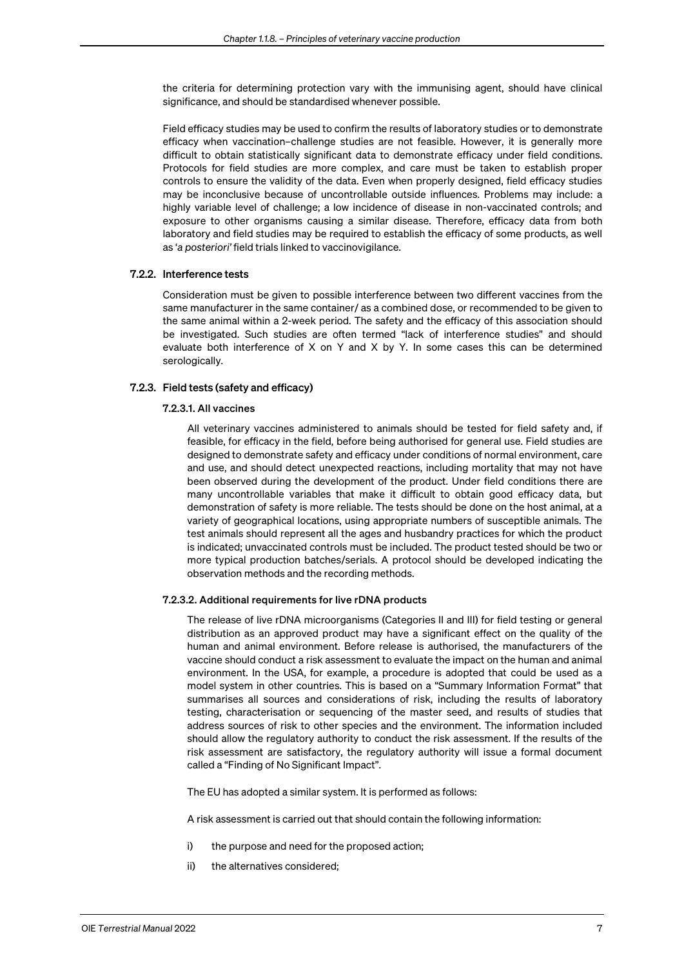the criteria for determining protection vary with the immunising agent, should have clinical significance, and should be standardised whenever possible.

Field efficacy studies may be used to confirm the results of laboratory studies or to demonstrate efficacy when vaccination–challenge studies are not feasible. However, it is generally more difficult to obtain statistically significant data to demonstrate efficacy under field conditions. Protocols for field studies are more complex, and care must be taken to establish proper controls to ensure the validity of the data. Even when properly designed, field efficacy studies may be inconclusive because of uncontrollable outside influences. Problems may include: a highly variable level of challenge; a low incidence of disease in non-vaccinated controls; and exposure to other organisms causing a similar disease. Therefore, efficacy data from both laboratory and field studies may be required to establish the efficacy of some products, as well as '*a posteriori'* field trials linked to vaccinovigilance.

#### 7.2.2. Interference tests

Consideration must be given to possible interference between two different vaccines from the same manufacturer in the same container/ as a combined dose, or recommended to be given to the same animal within a 2-week period. The safety and the efficacy of this association should be investigated. Such studies are often termed "lack of interference studies" and should evaluate both interference of X on Y and X by Y. In some cases this can be determined serologically.

#### 7.2.3. Field tests (safety and efficacy)

#### 7.2.3.1. All vaccines

All veterinary vaccines administered to animals should be tested for field safety and, if feasible, for efficacy in the field, before being authorised for general use. Field studies are designed to demonstrate safety and efficacy under conditions of normal environment, care and use, and should detect unexpected reactions, including mortality that may not have been observed during the development of the product. Under field conditions there are many uncontrollable variables that make it difficult to obtain good efficacy data, but demonstration of safety is more reliable. The tests should be done on the host animal, at a variety of geographical locations, using appropriate numbers of susceptible animals. The test animals should represent all the ages and husbandry practices for which the product is indicated; unvaccinated controls must be included. The product tested should be two or more typical production batches/serials. A protocol should be developed indicating the observation methods and the recording methods.

#### 7.2.3.2. Additional requirements for live rDNA products

The release of live rDNA microorganisms (Categories II and III) for field testing or general distribution as an approved product may have a significant effect on the quality of the human and animal environment. Before release is authorised, the manufacturers of the vaccine should conduct a risk assessment to evaluate the impact on the human and animal environment. In the USA, for example, a procedure is adopted that could be used as a model system in other countries. This is based on a "Summary Information Format" that summarises all sources and considerations of risk, including the results of laboratory testing, characterisation or sequencing of the master seed, and results of studies that address sources of risk to other species and the environment. The information included should allow the regulatory authority to conduct the risk assessment. If the results of the risk assessment are satisfactory, the regulatory authority will issue a formal document called a "Finding of No Significant Impact".

The EU has adopted a similar system. It is performed as follows:

A risk assessment is carried out that should contain the following information:

- i) the purpose and need for the proposed action;
- ii) the alternatives considered;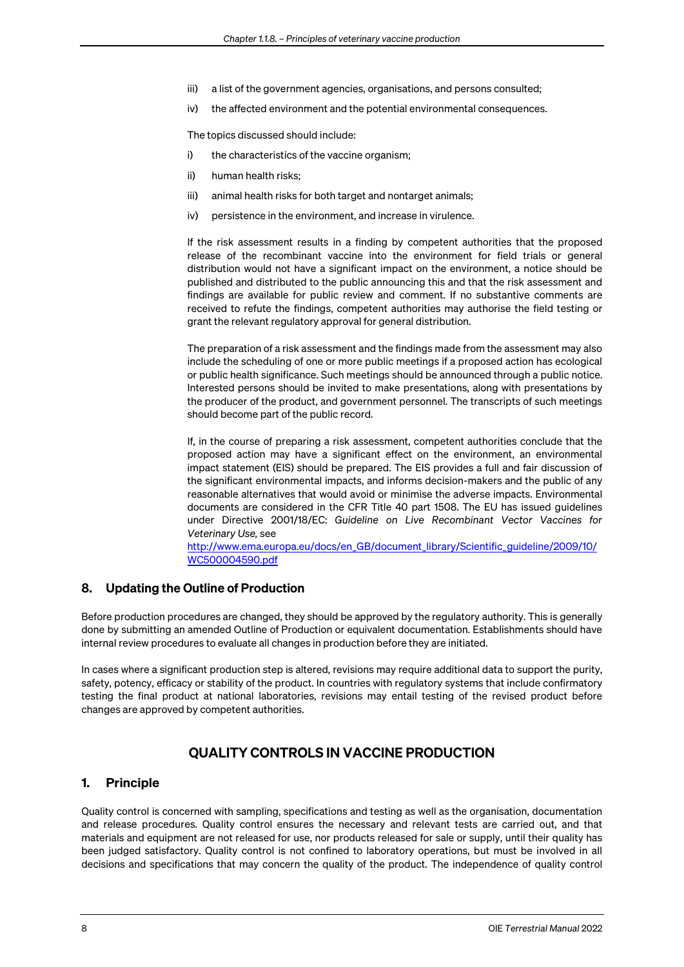- iii) a list of the government agencies, organisations, and persons consulted;
- iv) the affected environment and the potential environmental consequences.

The topics discussed should include:

- i) the characteristics of the vaccine organism;
- ii) human health risks;
- iii) animal health risks for both target and nontarget animals;
- iv) persistence in the environment, and increase in virulence.

If the risk assessment results in a finding by competent authorities that the proposed release of the recombinant vaccine into the environment for field trials or general distribution would not have a significant impact on the environment, a notice should be published and distributed to the public announcing this and that the risk assessment and findings are available for public review and comment. If no substantive comments are received to refute the findings, competent authorities may authorise the field testing or grant the relevant regulatory approval for general distribution.

The preparation of a risk assessment and the findings made from the assessment may also include the scheduling of one or more public meetings if a proposed action has ecological or public health significance. Such meetings should be announced through a public notice. Interested persons should be invited to make presentations, along with presentations by the producer of the product, and government personnel. The transcripts of such meetings should become part of the public record.

If, in the course of preparing a risk assessment, competent authorities conclude that the proposed action may have a significant effect on the environment, an environmental impact statement (EIS) should be prepared. The EIS provides a full and fair discussion of the significant environmental impacts, and informs decision-makers and the public of any reasonable alternatives that would avoid or minimise the adverse impacts. Environmental documents are considered in the CFR Title 40 part 1508. The EU has issued guidelines under Directive 2001/18/EC: *Guideline on Live Recombinant Vector Vaccines for Veterinary Use,* see

[http://www.ema.europa.eu/docs/en\\_GB/document\\_library/Scientific\\_guideline/2009/10/](http://www.ema.europa.eu/docs/en_GB/document_library/Scientific_guideline/2009/10/WC500004590.pdf) [WC500004590.pdf](http://www.ema.europa.eu/docs/en_GB/document_library/Scientific_guideline/2009/10/WC500004590.pdf)

### 8. Updating the Outline of Production

Before production procedures are changed, they should be approved by the regulatory authority. This is generally done by submitting an amended Outline of Production or equivalent documentation. Establishments should have internal review procedures to evaluate all changes in production before they are initiated.

In cases where a significant production step is altered, revisions may require additional data to support the purity, safety, potency, efficacy or stability of the product. In countries with regulatory systems that include confirmatory testing the final product at national laboratories, revisions may entail testing of the revised product before changes are approved by competent authorities.

# QUALITY CONTROLS IN VACCINE PRODUCTION

### 1. Principle

Quality control is concerned with sampling, specifications and testing as well as the organisation, documentation and release procedures. Quality control ensures the necessary and relevant tests are carried out, and that materials and equipment are not released for use, nor products released for sale or supply, until their quality has been judged satisfactory. Quality control is not confined to laboratory operations, but must be involved in all decisions and specifications that may concern the quality of the product. The independence of quality control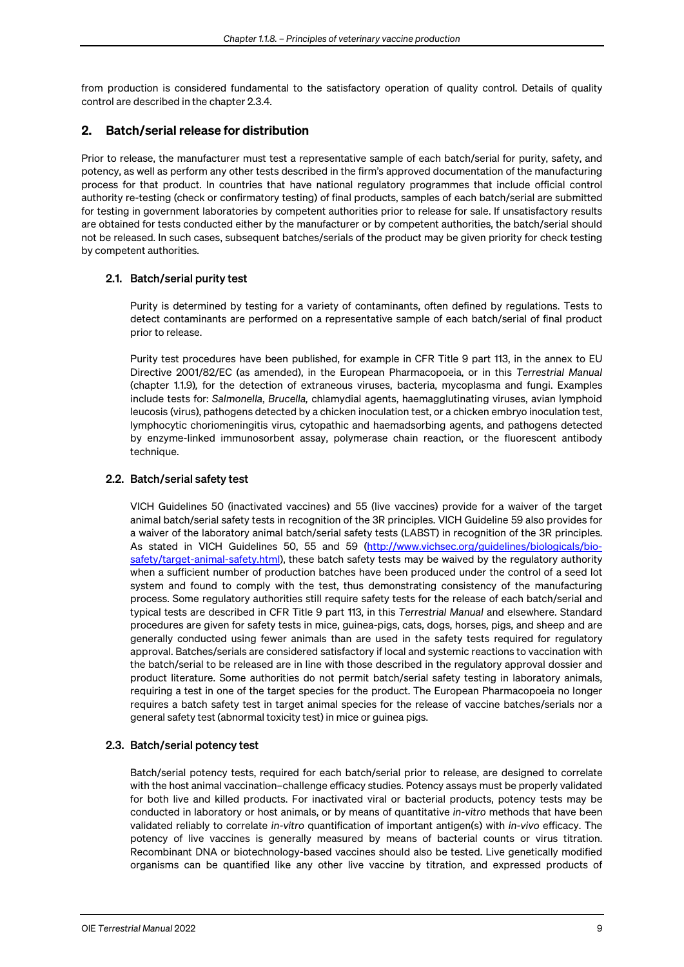from production is considered fundamental to the satisfactory operation of quality control. Details of quality control are described in the chapter 2.3.4*.*

### 2. Batch/serial release for distribution

Prior to release, the manufacturer must test a representative sample of each batch/serial for purity, safety, and potency, as well as perform any other tests described in the firm's approved documentation of the manufacturing process for that product. In countries that have national regulatory programmes that include official control authority re-testing (check or confirmatory testing) of final products, samples of each batch/serial are submitted for testing in government laboratories by competent authorities prior to release for sale. If unsatisfactory results are obtained for tests conducted either by the manufacturer or by competent authorities, the batch/serial should not be released. In such cases, subsequent batches/serials of the product may be given priority for check testing by competent authorities.

### 2.1. Batch/serial purity test

Purity is determined by testing for a variety of contaminants, often defined by regulations. Tests to detect contaminants are performed on a representative sample of each batch/serial of final product prior to release.

Purity test procedures have been published, for example in CFR Title 9 part 113, in the annex to EU Directive 2001/82/EC (as amended), in the European Pharmacopoeia, or in this *Terrestrial Manual* (chapter 1.1.9)*,* for the detection of extraneous viruses, bacteria, mycoplasma and fungi. Examples include tests for: *Salmonella*, *Brucella,* chlamydial agents, haemagglutinating viruses, avian lymphoid leucosis (virus), pathogens detected by a chicken inoculation test, or a chicken embryo inoculation test, lymphocytic choriomeningitis virus, cytopathic and haemadsorbing agents, and pathogens detected by enzyme-linked immunosorbent assay, polymerase chain reaction, or the fluorescent antibody technique.

## 2.2. Batch/serial safety test

VICH Guidelines 50 (inactivated vaccines) and 55 (live vaccines) provide for a waiver of the target animal batch/serial safety tests in recognition of the 3R principles. VICH Guideline 59 also provides for a waiver of the laboratory animal batch/serial safety tests (LABST) in recognition of the 3R principles. As stated in VICH Guidelines 50, 55 and 59 [\(http://www.vichsec.org/guidelines/biologicals/bio](http://www.vichsec.org/guidelines/biologicals/bio-safety/target-animal-safety.html)[safety/target-animal-safety.html\)](http://www.vichsec.org/guidelines/biologicals/bio-safety/target-animal-safety.html), these batch safety tests may be waived by the regulatory authority when a sufficient number of production batches have been produced under the control of a seed lot system and found to comply with the test, thus demonstrating consistency of the manufacturing process. Some regulatory authorities still require safety tests for the release of each batch/serial and typical tests are described in CFR Title 9 part 113, in this *Terrestrial Manual* and elsewhere. Standard procedures are given for safety tests in mice, guinea-pigs, cats, dogs, horses, pigs, and sheep and are generally conducted using fewer animals than are used in the safety tests required for regulatory approval. Batches/serials are considered satisfactory if local and systemic reactions to vaccination with the batch/serial to be released are in line with those described in the regulatory approval dossier and product literature. Some authorities do not permit batch/serial safety testing in laboratory animals, requiring a test in one of the target species for the product. The European Pharmacopoeia no longer requires a batch safety test in target animal species for the release of vaccine batches/serials nor a general safety test (abnormal toxicity test) in mice or guinea pigs.

### 2.3. Batch/serial potency test

Batch/serial potency tests, required for each batch/serial prior to release, are designed to correlate with the host animal vaccination–challenge efficacy studies. Potency assays must be properly validated for both live and killed products. For inactivated viral or bacterial products, potency tests may be conducted in laboratory or host animals, or by means of quantitative *in-vitro* methods that have been validated reliably to correlate *in-vitro* quantification of important antigen(s) with *in-vivo* efficacy. The potency of live vaccines is generally measured by means of bacterial counts or virus titration. Recombinant DNA or biotechnology-based vaccines should also be tested. Live genetically modified organisms can be quantified like any other live vaccine by titration, and expressed products of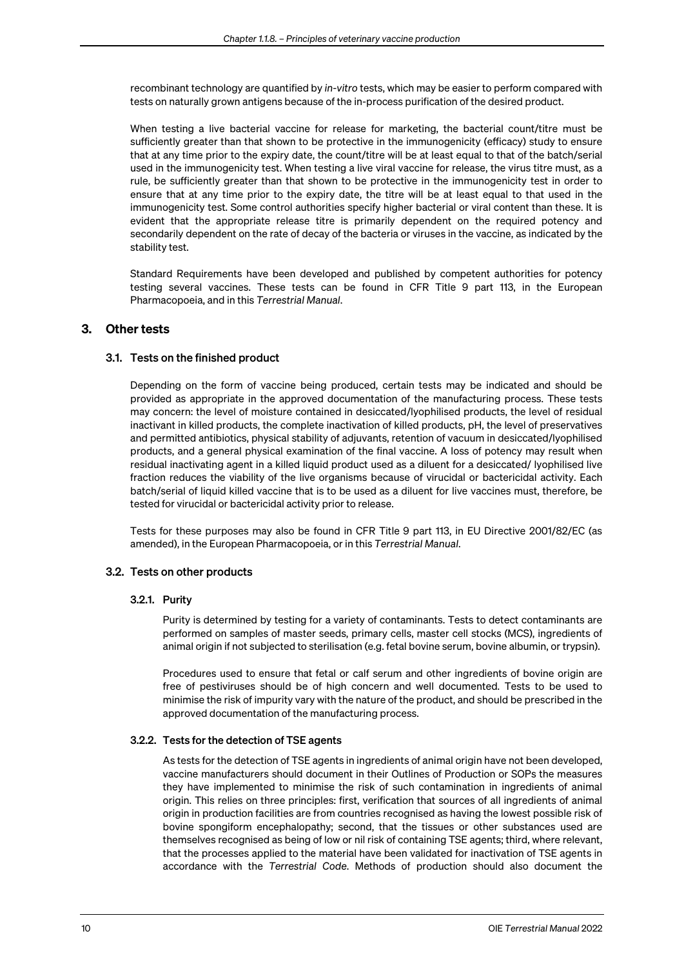recombinant technology are quantified by *in-vitro* tests, which may be easier to perform compared with tests on naturally grown antigens because of the in-process purification of the desired product.

When testing a live bacterial vaccine for release for marketing, the bacterial count/titre must be sufficiently greater than that shown to be protective in the immunogenicity (efficacy) study to ensure that at any time prior to the expiry date, the count/titre will be at least equal to that of the batch/serial used in the immunogenicity test. When testing a live viral vaccine for release, the virus titre must, as a rule, be sufficiently greater than that shown to be protective in the immunogenicity test in order to ensure that at any time prior to the expiry date, the titre will be at least equal to that used in the immunogenicity test. Some control authorities specify higher bacterial or viral content than these. It is evident that the appropriate release titre is primarily dependent on the required potency and secondarily dependent on the rate of decay of the bacteria or viruses in the vaccine, as indicated by the stability test.

Standard Requirements have been developed and published by competent authorities for potency testing several vaccines. These tests can be found in CFR Title 9 part 113, in the European Pharmacopoeia, and in this *Terrestrial Manual*.

### 3. Other tests

#### 3.1. Tests on the finished product

Depending on the form of vaccine being produced, certain tests may be indicated and should be provided as appropriate in the approved documentation of the manufacturing process. These tests may concern: the level of moisture contained in desiccated/lyophilised products, the level of residual inactivant in killed products, the complete inactivation of killed products, pH, the level of preservatives and permitted antibiotics, physical stability of adjuvants, retention of vacuum in desiccated/lyophilised products, and a general physical examination of the final vaccine. A loss of potency may result when residual inactivating agent in a killed liquid product used as a diluent for a desiccated/ lyophilised live fraction reduces the viability of the live organisms because of virucidal or bactericidal activity. Each batch/serial of liquid killed vaccine that is to be used as a diluent for live vaccines must, therefore, be tested for virucidal or bactericidal activity prior to release.

Tests for these purposes may also be found in CFR Title 9 part 113, in EU Directive 2001/82/EC (as amended), in the European Pharmacopoeia, or in this *Terrestrial Manual*.

#### 3.2. Tests on other products

#### 3.2.1. Purity

Purity is determined by testing for a variety of contaminants. Tests to detect contaminants are performed on samples of master seeds, primary cells, master cell stocks (MCS), ingredients of animal origin if not subjected to sterilisation (e.g. fetal bovine serum, bovine albumin, or trypsin).

Procedures used to ensure that fetal or calf serum and other ingredients of bovine origin are free of pestiviruses should be of high concern and well documented. Tests to be used to minimise the risk of impurity vary with the nature of the product, and should be prescribed in the approved documentation of the manufacturing process.

#### 3.2.2. Tests for the detection of TSE agents

As tests for the detection of TSE agents in ingredients of animal origin have not been developed, vaccine manufacturers should document in their Outlines of Production or SOPs the measures they have implemented to minimise the risk of such contamination in ingredients of animal origin. This relies on three principles: first, verification that sources of all ingredients of animal origin in production facilities are from countries recognised as having the lowest possible risk of bovine spongiform encephalopathy; second, that the tissues or other substances used are themselves recognised as being of low or nil risk of containing TSE agents; third, where relevant, that the processes applied to the material have been validated for inactivation of TSE agents in accordance with the *Terrestrial Code*. Methods of production should also document the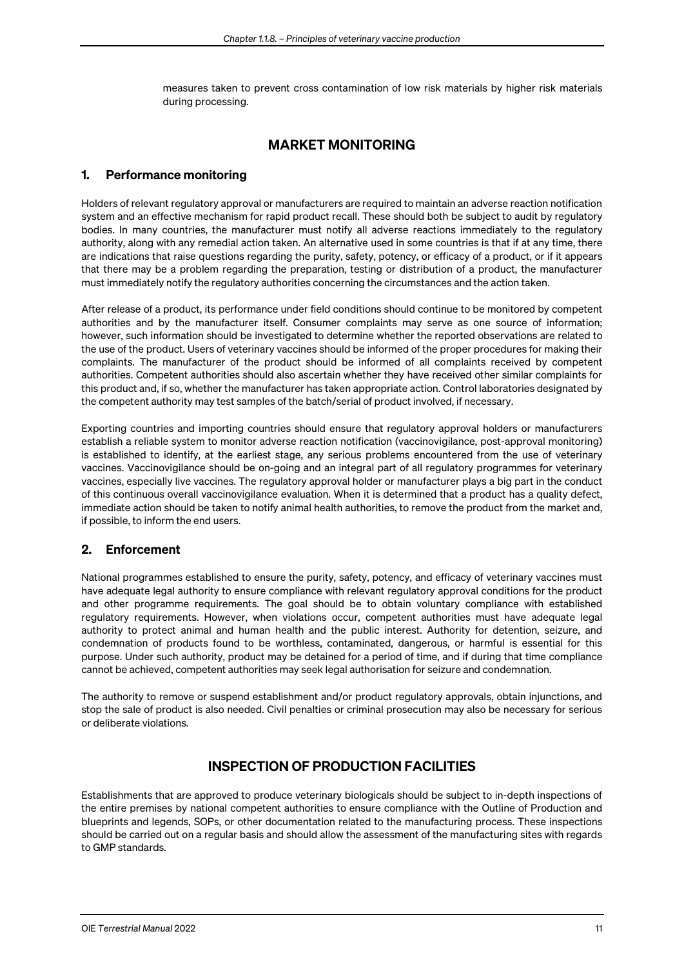measures taken to prevent cross contamination of low risk materials by higher risk materials during processing.

## MARKET MONITORING

## 1. Performance monitoring

Holders of relevant regulatory approval or manufacturers are required to maintain an adverse reaction notification system and an effective mechanism for rapid product recall. These should both be subject to audit by regulatory bodies. In many countries, the manufacturer must notify all adverse reactions immediately to the regulatory authority, along with any remedial action taken. An alternative used in some countries is that if at any time, there are indications that raise questions regarding the purity, safety, potency, or efficacy of a product, or if it appears that there may be a problem regarding the preparation, testing or distribution of a product, the manufacturer must immediately notify the regulatory authorities concerning the circumstances and the action taken.

After release of a product, its performance under field conditions should continue to be monitored by competent authorities and by the manufacturer itself. Consumer complaints may serve as one source of information; however, such information should be investigated to determine whether the reported observations are related to the use of the product. Users of veterinary vaccines should be informed of the proper procedures for making their complaints. The manufacturer of the product should be informed of all complaints received by competent authorities. Competent authorities should also ascertain whether they have received other similar complaints for this product and, if so, whether the manufacturer has taken appropriate action. Control laboratories designated by the competent authority may test samples of the batch/serial of product involved, if necessary.

Exporting countries and importing countries should ensure that regulatory approval holders or manufacturers establish a reliable system to monitor adverse reaction notification (vaccinovigilance, post-approval monitoring) is established to identify, at the earliest stage, any serious problems encountered from the use of veterinary vaccines. Vaccinovigilance should be on-going and an integral part of all regulatory programmes for veterinary vaccines, especially live vaccines. The regulatory approval holder or manufacturer plays a big part in the conduct of this continuous overall vaccinovigilance evaluation. When it is determined that a product has a quality defect, immediate action should be taken to notify animal health authorities, to remove the product from the market and, if possible, to inform the end users.

### 2. Enforcement

National programmes established to ensure the purity, safety, potency, and efficacy of veterinary vaccines must have adequate legal authority to ensure compliance with relevant regulatory approval conditions for the product and other programme requirements. The goal should be to obtain voluntary compliance with established regulatory requirements. However, when violations occur, competent authorities must have adequate legal authority to protect animal and human health and the public interest. Authority for detention, seizure, and condemnation of products found to be worthless, contaminated, dangerous, or harmful is essential for this purpose. Under such authority, product may be detained for a period of time, and if during that time compliance cannot be achieved, competent authorities may seek legal authorisation for seizure and condemnation.

The authority to remove or suspend establishment and/or product regulatory approvals, obtain injunctions, and stop the sale of product is also needed. Civil penalties or criminal prosecution may also be necessary for serious or deliberate violations.

# INSPECTION OF PRODUCTION FACILITIES

Establishments that are approved to produce veterinary biologicals should be subject to in-depth inspections of the entire premises by national competent authorities to ensure compliance with the Outline of Production and blueprints and legends, SOPs, or other documentation related to the manufacturing process. These inspections should be carried out on a regular basis and should allow the assessment of the manufacturing sites with regards to GMP standards.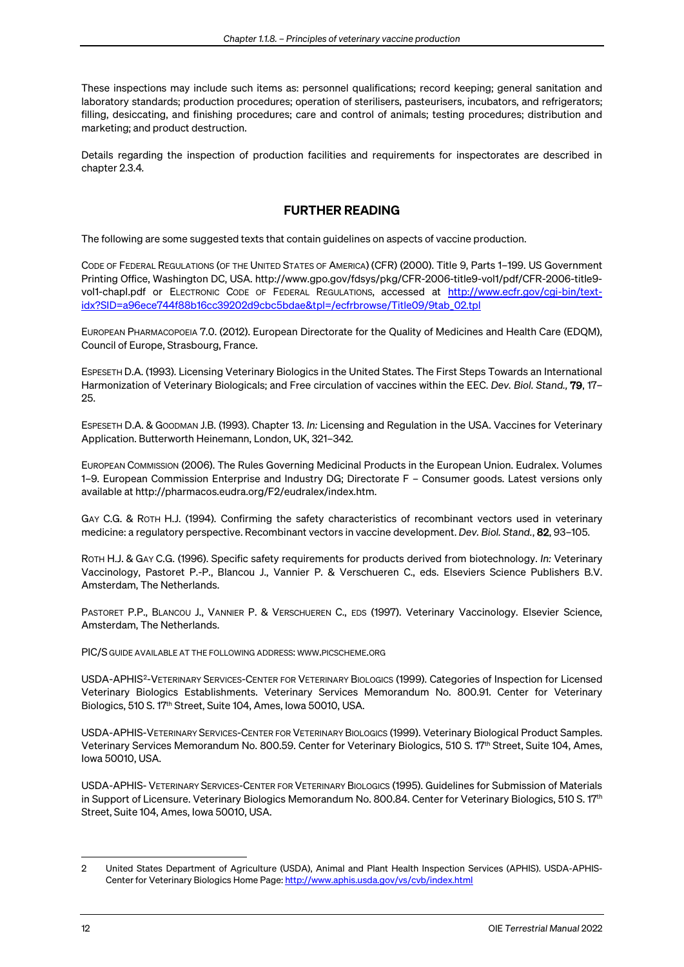These inspections may include such items as: personnel qualifications; record keeping; general sanitation and laboratory standards; production procedures; operation of sterilisers, pasteurisers, incubators, and refrigerators; filling, desiccating, and finishing procedures; care and control of animals; testing procedures; distribution and marketing; and product destruction.

Details regarding the inspection of production facilities and requirements for inspectorates are described in chapter 2.3.4*.*

## FURTHER READING

The following are some suggested texts that contain guidelines on aspects of vaccine production.

CODE OF FEDERAL REGULATIONS (OF THE UNITED STATES OF AMERICA) (CFR) (2000). Title 9, Parts 1–199. US Government Printing Office, Washington DC, USA. [http://www.gpo.gov/fdsys/pkg/CFR-2006-title9-vol1/pdf/CFR-2006-title9](http://www.gpo.gov/fdsys/pkg/CFR-2006-title9-vol1/pdf/CFR-2006-title9-vol1-chapI.pdf) vol1-chapl.pdf or ELECTRONIC CODE OF FEDERAL REGULATIONS, accessed at [http://www.ecfr.gov/cgi-bin/text](http://www.ecfr.gov/cgi-bin/text-idx?SID=a96ece744f88b16cc39202d9cbc5bdae&tpl=/ecfrbrowse/Title09/9tab_02.tpl)[idx?SID=a96ece744f88b16cc39202d9cbc5bdae&tpl=/ecfrbrowse/Title09/9tab\\_02.tpl](http://www.ecfr.gov/cgi-bin/text-idx?SID=a96ece744f88b16cc39202d9cbc5bdae&tpl=/ecfrbrowse/Title09/9tab_02.tpl)

EUROPEAN PHARMACOPOEIA 7.0. (2012). European Directorate for the Quality of Medicines and Health Care (EDQM), Council of Europe, Strasbourg, France.

ESPESETH D.A. (1993). Licensing Veterinary Biologics in the United States. The First Steps Towards an International Harmonization of Veterinary Biologicals; and Free circulation of vaccines within the EEC. *Dev. Biol. Stand.,* 79, 17– 25.

ESPESETH D.A. & GOODMAN J.B. (1993). Chapter 13. *In:* Licensing and Regulation in the USA. Vaccines for Veterinary Application. Butterworth Heinemann, London, UK, 321–342.

EUROPEAN COMMISSION (2006). The Rules Governing Medicinal Products in the European Union. Eudralex. Volumes 1–9. European Commission Enterprise and Industry DG; Directorate F – Consumer goods. Latest versions only available at http://pharmacos.eudra.org/F2/eudralex/index.htm.

GAY C.G. & ROTH H.J. (1994). Confirming the safety characteristics of recombinant vectors used in veterinary medicine: a regulatory perspective. Recombinant vectors in vaccine development. *Dev. Biol. Stand.*, 82, 93–105.

ROTH H.J. & GAY C.G. (1996). Specific safety requirements for products derived from biotechnology. *In:* Veterinary Vaccinology, Pastoret P.-P., Blancou J., Vannier P. & Verschueren C., eds. Elseviers Science Publishers B.V. Amsterdam, The Netherlands.

[PASTORET P.P.,](http://alexandrie/Auteur.htm?numrec=061919268919100) [BLANCOU J.,](http://alexandrie/Auteur.htm?numrec=061911091919380) [VANNIER P.](http://alexandrie/Auteur.htm?numrec=061919457919120) & [VERSCHUEREN C.,](http://alexandrie/Auteur.htm?numrec=061956302913810) EDS (1997). Veterinary Vaccinology. [Elsevier](http://alexandrie/Reference.htm?numrec=191913980919570) Science, Amsterdam, The Netherlands.

PIC/S GUIDE AVAILABLE AT THE FOLLOWING ADDRESS: [WWW.PICSCHEME.ORG](http://www.picscheme.org/)

USDA-APHIS[2](#page-11-0)-VETERINARY SERVICES-CENTER FOR VETERINARY BIOLOGICS (1999). Categories of Inspection for Licensed Veterinary Biologics Establishments. Veterinary Services Memorandum No. 800.91. Center for Veterinary Biologics, 510 S. 17th Street, Suite 104, Ames, Iowa 50010, USA.

USDA-APHIS-VETERINARY SERVICES-CENTER FOR VETERINARY BIOLOGICS (1999). Veterinary Biological Product Samples. Veterinary Services Memorandum No. 800.59. Center for Veterinary Biologics, 510 S. 17th Street, Suite 104, Ames, Iowa 50010, USA.

USDA-APHIS- VETERINARY SERVICES-CENTER FOR VETERINARY BIOLOGICS (1995). Guidelines for Submission of Materials in Support of Licensure. Veterinary Biologics Memorandum No. 800.84. Center for Veterinary Biologics, 510 S. 17th Street, Suite 104, Ames, Iowa 50010, USA.

<span id="page-11-0"></span><sup>2</sup> United States Department of Agriculture (USDA), Animal and Plant Health Inspection Services (APHIS). USDA-APHIS-Center for Veterinary Biologics Home Page[: http://www.aphis.usda.gov/vs/cvb/index.html](http://www.aphis.usda.gov/vs/cvb/index.html)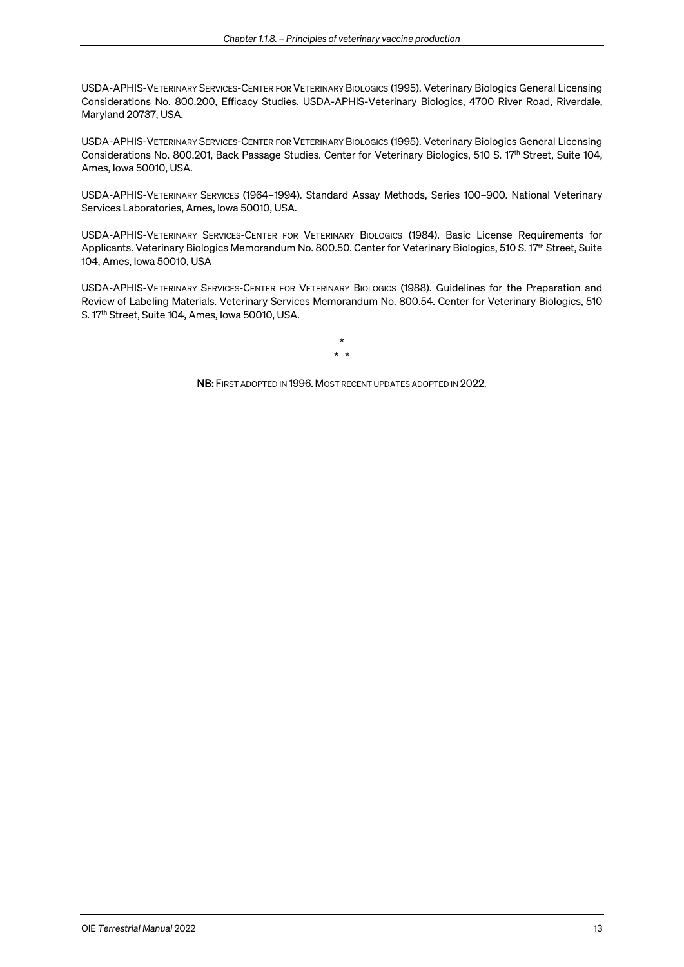USDA-APHIS-VETERINARY SERVICES-CENTER FOR VETERINARY BIOLOGICS (1995). Veterinary Biologics General Licensing Considerations No. 800.200, Efficacy Studies. USDA-APHIS-Veterinary Biologics, 4700 River Road, Riverdale, Maryland 20737, USA.

USDA-APHIS-VETERINARY SERVICES-CENTER FOR VETERINARY BIOLOGICS (1995). Veterinary Biologics General Licensing Considerations No. 800.201, Back Passage Studies. Center for Veterinary Biologics, 510 S. 17th Street, Suite 104, Ames, Iowa 50010, USA.

USDA-APHIS-VETERINARY SERVICES (1964–1994). Standard Assay Methods, Series 100–900. National Veterinary Services Laboratories, Ames, Iowa 50010, USA.

USDA-APHIS-VETERINARY SERVICES-CENTER FOR VETERINARY BIOLOGICS (1984). Basic License Requirements for Applicants. Veterinary Biologics Memorandum No. 800.50. Center for Veterinary Biologics, 510 S. 17th Street, Suite 104, Ames, Iowa 50010, USA

USDA-APHIS-VETERINARY SERVICES-CENTER FOR VETERINARY BIOLOGICS (1988). Guidelines for the Preparation and Review of Labeling Materials. Veterinary Services Memorandum No. 800.54. Center for Veterinary Biologics, 510 S. 17th Street, Suite 104, Ames, Iowa 50010, USA.

> \* \* \*

NB: FIRST ADOPTED IN 1996. MOST RECENT UPDATES ADOPTED IN 2022.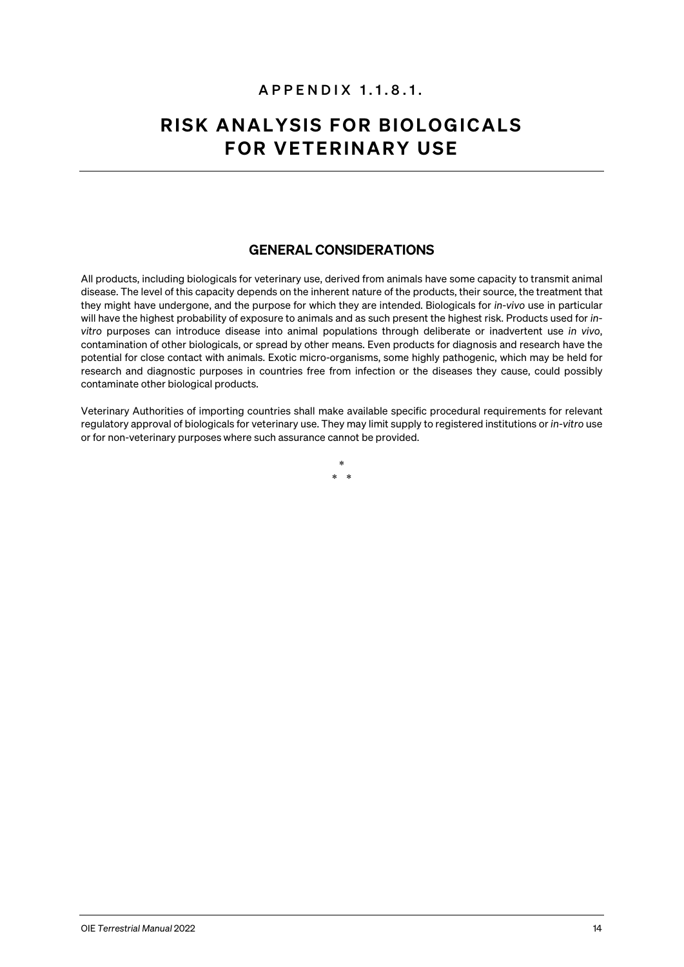# APPENDIX 1.1. 8 .1.

# RISK ANALYSIS FOR BIOLOGICALS FOR VETERINARY USE

## GENERAL CONSIDERATIONS

All products, including biologicals for veterinary use, derived from animals have some capacity to transmit animal disease. The level of this capacity depends on the inherent nature of the products, their source, the treatment that they might have undergone, and the purpose for which they are intended. Biologicals for *in-vivo* use in particular will have the highest probability of exposure to animals and as such present the highest risk. Products used for *invitro* purposes can introduce disease into animal populations through deliberate or inadvertent use *in vivo*, contamination of other biologicals, or spread by other means. Even products for diagnosis and research have the potential for close contact with animals. Exotic micro-organisms, some highly pathogenic, which may be held for research and diagnostic purposes in countries free from infection or the diseases they cause, could possibly contaminate other biological products.

Veterinary Authorities of importing countries shall make available specific procedural requirements for relevant regulatory approval of biologicals for veterinary use. They may limit supply to registered institutions or *in-vitro* use or for non-veterinary purposes where such assurance cannot be provided.

> \*  $\rightarrow$

OIE *Terrestrial Manual* 2022 14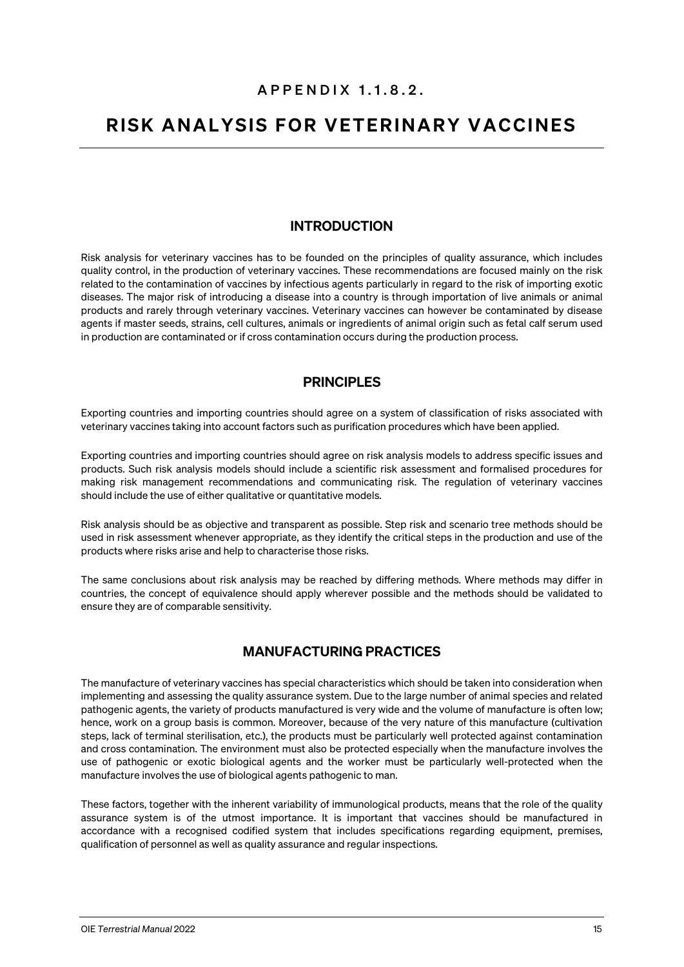# APPENDIX 1.1. 8 .2.

# RISK ANALYSIS FOR VETERINARY VACCINES

# INTRODUCTION

Risk analysis for veterinary vaccines has to be founded on the principles of quality assurance, which includes quality control, in the production of veterinary vaccines. These recommendations are focused mainly on the risk related to the contamination of vaccines by infectious agents particularly in regard to the risk of importing exotic diseases. The major risk of introducing a disease into a country is through importation of live animals or animal products and rarely through veterinary vaccines. Veterinary vaccines can however be contaminated by disease agents if master seeds, strains, cell cultures, animals or ingredients of animal origin such as fetal calf serum used in production are contaminated or if cross contamination occurs during the production process.

## PRINCIPLES

Exporting countries and importing countries should agree on a system of classification of risks associated with veterinary vaccines taking into account factors such as purification procedures which have been applied.

Exporting countries and importing countries should agree on risk analysis models to address specific issues and products. Such risk analysis models should include a scientific risk assessment and formalised procedures for making risk management recommendations and communicating risk. The regulation of veterinary vaccines should include the use of either qualitative or quantitative models.

Risk analysis should be as objective and transparent as possible. Step risk and scenario tree methods should be used in risk assessment whenever appropriate, as they identify the critical steps in the production and use of the products where risks arise and help to characterise those risks.

The same conclusions about risk analysis may be reached by differing methods. Where methods may differ in countries, the concept of equivalence should apply wherever possible and the methods should be validated to ensure they are of comparable sensitivity.

## MANUFACTURING PRACTICES

The manufacture of veterinary vaccines has special characteristics which should be taken into consideration when implementing and assessing the quality assurance system. Due to the large number of animal species and related pathogenic agents, the variety of products manufactured is very wide and the volume of manufacture is often low; hence, work on a group basis is common. Moreover, because of the very nature of this manufacture (cultivation steps, lack of terminal sterilisation, etc.), the products must be particularly well protected against contamination and cross contamination. The environment must also be protected especially when the manufacture involves the use of pathogenic or exotic biological agents and the worker must be particularly well-protected when the manufacture involves the use of biological agents pathogenic to man.

These factors, together with the inherent variability of immunological products, means that the role of the quality assurance system is of the utmost importance. It is important that vaccines should be manufactured in accordance with a recognised codified system that includes specifications regarding equipment, premises, qualification of personnel as well as quality assurance and regular inspections.